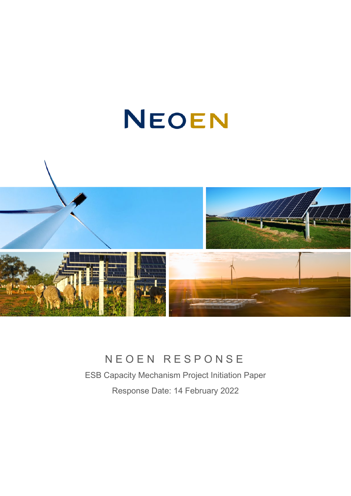# NEOEN



# NEOEN RESPONSE

ESB Capacity Mechanism Project Initiation Paper Response Date: 14 February 2022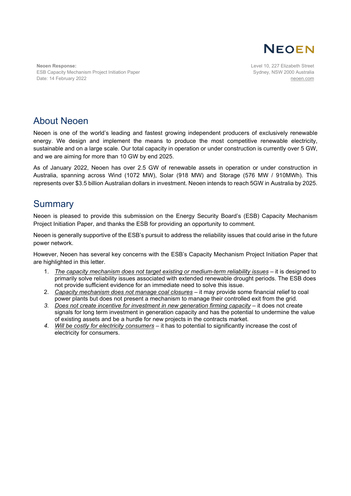

**Neoen Response:** ESB Capacity Mechanism Project Initiation Paper Date: 14 February 2022

Level 10, 227 Elizabeth Street Sydney, NSW 2000 Australia [neoen.com](https://www.neoen.com/)

## About Neoen

Neoen is one of the world's leading and fastest growing independent producers of exclusively renewable energy. We design and implement the means to produce the most competitive renewable electricity, sustainable and on a large scale. Our total capacity in operation or under construction is currently over 5 GW, and we are aiming for more than 10 GW by end 2025.

As of January 2022, Neoen has over 2.5 GW of renewable assets in operation or under construction in Australia, spanning across Wind (1072 MW), Solar (918 MW) and Storage (576 MW / 910MWh). This represents over \$3.5 billion Australian dollars in investment. Neoen intends to reach 5GW in Australia by 2025.

### **Summary**

Neoen is pleased to provide this submission on the Energy Security Board's (ESB) Capacity Mechanism Project Initiation Paper, and thanks the ESB for providing an opportunity to comment.

Neoen is generally supportive of the ESB's pursuit to address the reliability issues that could arise in the future power network.

However, Neoen has several key concerns with the ESB's Capacity Mechanism Project Initiation Paper that are highlighted in this letter.

- 1. *The capacity mechanism does not target existing or medium-term reliability issues* it is designed to primarily solve reliability issues associated with extended renewable drought periods. The ESB does not provide sufficient evidence for an immediate need to solve this issue.
- 2. *Capacity mechanism does not manage coal closures* it may provide some financial relief to coal power plants but does not present a mechanism to manage their controlled exit from the grid.
- 3. Does not create incentive for investment in new generation firming capacity it does not create signals for long term investment in generation capacity and has the potential to undermine the value of existing assets and be a hurdle for new projects in the contracts market.
- *4. Will be costly for electricity consumers* it has to potential to significantly increase the cost of electricity for consumers.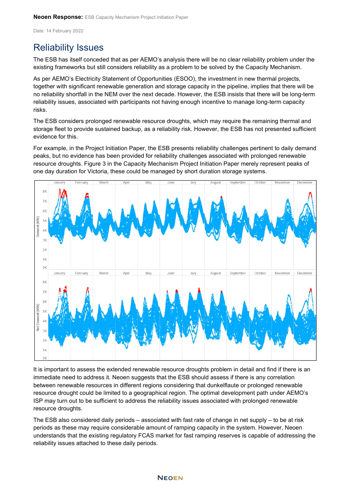Date: 14 February 2022

# Reliability Issues

The ESB has itself conceded that as per AEMO's analysis there will be no clear reliability problem under the existing frameworks but still considers reliability as a problem to be solved by the Capacity Mechanism.

As per AEMO's Electricity Statement of Opportunities (ESOO), the investment in new thermal projects, together with significant renewable generation and storage capacity in the pipeline, implies that there will be no reliability shortfall in the NEM over the next decade. However, the ESB insists that there will be long-term reliability issues, associated with participants not having enough incentive to manage long-term capacity risks.

The ESB considers prolonged renewable resource droughts, which may require the remaining thermal and storage fleet to provide sustained backup, as a reliability risk. However, the ESB has not presented sufficient evidence for this.

For example, in the Project Initiation Paper, the ESB presents reliability challenges pertinent to daily demand peaks, but no evidence has been provided for reliability challenges associated with prolonged renewable resource droughts. Figure 3 in the Capacity Mechanism Project Initiation Paper merely represent peaks of one day duration for Victoria, these could be managed by short duration storage systems.



It is important to assess the extended renewable resource droughts problem in detail and find if there is an immediate need to address it. Neoen suggests that the ESB should assess if there is any correlation between renewable resources in different regions considering that dunkelflaute or prolonged renewable resource drought could be limited to a geographical region. The optimal development path under AEMO's ISP may turn out to be sufficient to address the reliability issues associated with prolonged renewable resource droughts.

The ESB also considered daily periods – associated with fast rate of change in net supply – to be at risk periods as these may require considerable amount of ramping capacity in the system. However, Neoen understands that the existing regulatory FCAS market for fast ramping reserves is capable of addressing the reliability issues attached to these daily periods.

#### **NEOEN**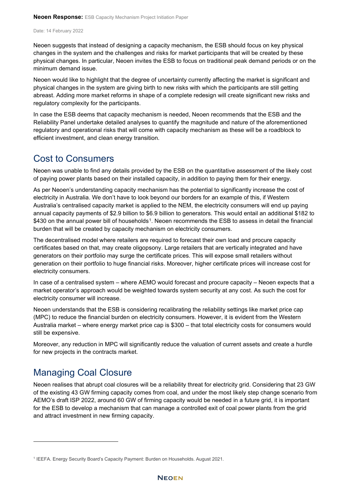Date: 14 February 2022

Neoen suggests that instead of designing a capacity mechanism, the ESB should focus on key physical changes in the system and the challenges and risks for market participants that will be created by these physical changes. In particular, Neoen invites the ESB to focus on traditional peak demand periods or on the minimum demand issue.

Neoen would like to highlight that the degree of uncertainty currently affecting the market is significant and physical changes in the system are giving birth to new risks with which the participants are still getting abreast. Adding more market reforms in shape of a complete redesign will create significant new risks and regulatory complexity for the participants.

In case the ESB deems that capacity mechanism is needed, Neoen recommends that the ESB and the Reliability Panel undertake detailed analyses to quantify the magnitude and nature of the aforementioned regulatory and operational risks that will come with capacity mechanism as these will be a roadblock to efficient investment, and clean energy transition.

#### Cost to Consumers

Neoen was unable to find any details provided by the ESB on the quantitative assessment of the likely cost of paying power plants based on their installed capacity, in addition to paying them for their energy.

As per Neoen's understanding capacity mechanism has the potential to significantly increase the cost of electricity in Australia. We don't have to look beyond our borders for an example of this, if Western Australia's centralised capacity market is applied to the NEM, the electricity consumers will end up paying annual capacity payments of \$2.9 billion to \$6.9 billion to generators. This would entail an additional \$182 to \$430 on the annual power bill of households<sup>[1](#page-3-0)</sup>. Neoen recommends the ESB to assess in detail the financial burden that will be created by capacity mechanism on electricity consumers.

The decentralised model where retailers are required to forecast their own load and procure capacity certificates based on that, may create oligopsony. Large retailers that are vertically integrated and have generators on their portfolio may surge the certificate prices. This will expose small retailers without generation on their portfolio to huge financial risks. Moreover, higher certificate prices will increase cost for electricity consumers.

In case of a centralised system – where AEMO would forecast and procure capacity – Neoen expects that a market operator's approach would be weighted towards system security at any cost. As such the cost for electricity consumer will increase.

Neoen understands that the ESB is considering recalibrating the reliability settings like market price cap (MPC) to reduce the financial burden on electricity consumers. However, it is evident from the Western Australia market – where energy market price cap is \$300 – that total electricity costs for consumers would still be expensive.

Moreover, any reduction in MPC will significantly reduce the valuation of current assets and create a hurdle for new projects in the contracts market.

# Managing Coal Closure

Neoen realises that abrupt coal closures will be a reliability threat for electricity grid. Considering that 23 GW of the existing 43 GW firming capacity comes from coal, and under the most likely step change scenario from AEMO's draft ISP 2022, around 60 GW of firming capacity would be needed in a future grid, it is important for the ESB to develop a mechanism that can manage a controlled exit of coal power plants from the grid and attract investment in new firming capacity.

<span id="page-3-0"></span><sup>1</sup> IEEFA. Energy Security Board's Capacity Payment: Burden on Households. August 2021.